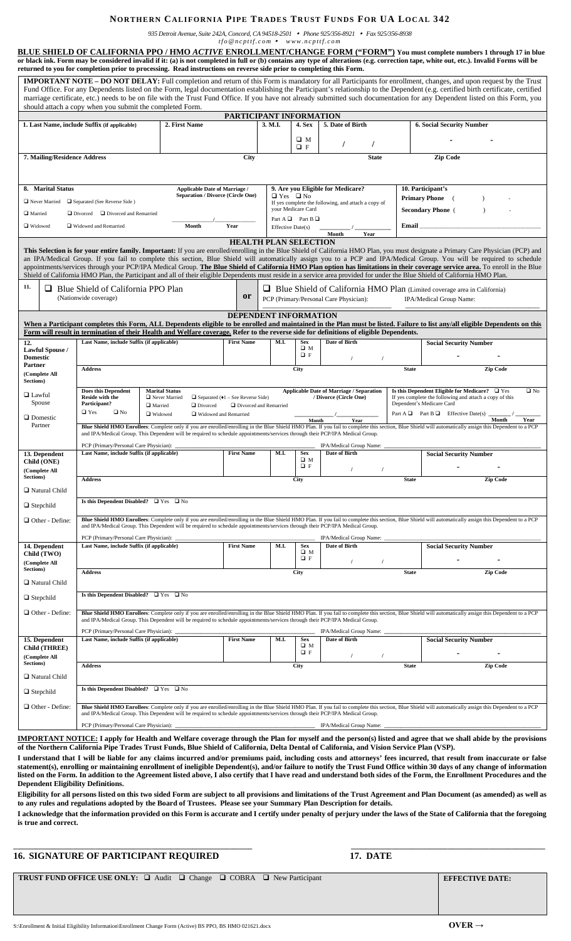## **NORTHERN CALIFORNIA PIPE TRADES TRUST FUNDS FOR UA LOCAL 342**

*935 Detroit Avenue, Suite 242A, Concord, CA 94518-2501 Phone 925/356-8921 Fax 925/356-8938*

*tfo @ncpttf.com www.ncpttf.com*

|                                                                                                                                                                                                                                                                                                                                                           | returned to you for completion prior to processing. Read instructions on reverse side prior to completing this Form.                                                                                                                                                                                                                                                       |                                                                                                                               |                                                          |                                                           |                             |                                                     |                           | <b>BLUE SHIELD OF CALIFORNIA PPO / HMO ACTIVE ENROLLMENT/CHANGE FORM ("FORM") You must complete numbers 1 through 17 in blue</b><br>or black ink. Form may be considered invalid if it: (a) is not completed in full or (b) contains any type of alterations (e.g. correction tape, white out, etc.). Invalid Forms will be                                                                                                                                                                                                                                                                                                                                                                                                                                                                                                                  |  |
|-----------------------------------------------------------------------------------------------------------------------------------------------------------------------------------------------------------------------------------------------------------------------------------------------------------------------------------------------------------|----------------------------------------------------------------------------------------------------------------------------------------------------------------------------------------------------------------------------------------------------------------------------------------------------------------------------------------------------------------------------|-------------------------------------------------------------------------------------------------------------------------------|----------------------------------------------------------|-----------------------------------------------------------|-----------------------------|-----------------------------------------------------|---------------------------|----------------------------------------------------------------------------------------------------------------------------------------------------------------------------------------------------------------------------------------------------------------------------------------------------------------------------------------------------------------------------------------------------------------------------------------------------------------------------------------------------------------------------------------------------------------------------------------------------------------------------------------------------------------------------------------------------------------------------------------------------------------------------------------------------------------------------------------------|--|
|                                                                                                                                                                                                                                                                                                                                                           | should attach a copy when you submit the completed Form.                                                                                                                                                                                                                                                                                                                   |                                                                                                                               |                                                          |                                                           |                             |                                                     |                           | IMPORTANT NOTE - DO NOT DELAY: Full completion and return of this Form is mandatory for all Participants for enrollment, changes, and upon request by the Trust<br>Fund Office. For any Dependents listed on the Form, legal documentation establishing the Participant's relationship to the Dependent (e.g. certified birth certificate, certified<br>marriage certificate, etc.) needs to be on file with the Trust Fund Office. If you have not already submitted such documentation for any Dependent listed on this Form, you                                                                                                                                                                                                                                                                                                          |  |
|                                                                                                                                                                                                                                                                                                                                                           |                                                                                                                                                                                                                                                                                                                                                                            |                                                                                                                               | PARTICIPANT INFORMATION                                  |                                                           |                             |                                                     |                           |                                                                                                                                                                                                                                                                                                                                                                                                                                                                                                                                                                                                                                                                                                                                                                                                                                              |  |
|                                                                                                                                                                                                                                                                                                                                                           | 1. Last Name, include Suffix (if applicable)                                                                                                                                                                                                                                                                                                                               | 2. First Name                                                                                                                 |                                                          | 3. M.I.                                                   | 4. Sex                      | 5. Date of Birth                                    |                           | <b>6. Social Security Number</b>                                                                                                                                                                                                                                                                                                                                                                                                                                                                                                                                                                                                                                                                                                                                                                                                             |  |
|                                                                                                                                                                                                                                                                                                                                                           |                                                                                                                                                                                                                                                                                                                                                                            |                                                                                                                               |                                                          |                                                           | $\square$ M                 |                                                     |                           |                                                                                                                                                                                                                                                                                                                                                                                                                                                                                                                                                                                                                                                                                                                                                                                                                                              |  |
|                                                                                                                                                                                                                                                                                                                                                           |                                                                                                                                                                                                                                                                                                                                                                            |                                                                                                                               |                                                          |                                                           | $\Box$ F                    | $\prime$                                            |                           |                                                                                                                                                                                                                                                                                                                                                                                                                                                                                                                                                                                                                                                                                                                                                                                                                                              |  |
| 7. Mailing/Residence Address                                                                                                                                                                                                                                                                                                                              |                                                                                                                                                                                                                                                                                                                                                                            |                                                                                                                               | City                                                     |                                                           |                             | <b>State</b>                                        |                           | <b>Zip Code</b>                                                                                                                                                                                                                                                                                                                                                                                                                                                                                                                                                                                                                                                                                                                                                                                                                              |  |
| 8. Marital Status                                                                                                                                                                                                                                                                                                                                         | <b>Applicable Date of Marriage /</b>                                                                                                                                                                                                                                                                                                                                       |                                                                                                                               |                                                          | 9. Are you Eligible for Medicare?<br>$\Box$ Yes $\Box$ No |                             |                                                     |                           | 10. Participant's                                                                                                                                                                                                                                                                                                                                                                                                                                                                                                                                                                                                                                                                                                                                                                                                                            |  |
|                                                                                                                                                                                                                                                                                                                                                           | □ Never Married □ Separated (See Reverse Side )                                                                                                                                                                                                                                                                                                                            |                                                                                                                               | <b>Separation / Divorce (Circle One)</b>                 |                                                           |                             | If yes complete the following, and attach a copy of |                           | <b>Primary Phone</b>                                                                                                                                                                                                                                                                                                                                                                                                                                                                                                                                                                                                                                                                                                                                                                                                                         |  |
| Married<br>Divorced<br>Divorced and Remarried                                                                                                                                                                                                                                                                                                             |                                                                                                                                                                                                                                                                                                                                                                            |                                                                                                                               |                                                          | your Medicare Card                                        |                             |                                                     |                           | <b>Secondary Phone</b> (                                                                                                                                                                                                                                                                                                                                                                                                                                                                                                                                                                                                                                                                                                                                                                                                                     |  |
|                                                                                                                                                                                                                                                                                                                                                           |                                                                                                                                                                                                                                                                                                                                                                            |                                                                                                                               |                                                          |                                                           | Part A $\Box$ Part B $\Box$ |                                                     |                           |                                                                                                                                                                                                                                                                                                                                                                                                                                                                                                                                                                                                                                                                                                                                                                                                                                              |  |
| □ Widowed                                                                                                                                                                                                                                                                                                                                                 | □ Widowed and Remarried                                                                                                                                                                                                                                                                                                                                                    | Month                                                                                                                         | Year                                                     | Effective Date(s)                                         |                             | Month<br>Year                                       | Email                     |                                                                                                                                                                                                                                                                                                                                                                                                                                                                                                                                                                                                                                                                                                                                                                                                                                              |  |
| 11.                                                                                                                                                                                                                                                                                                                                                       | $\Box$ Blue Shield of California PPO Plan<br>(Nationwide coverage)                                                                                                                                                                                                                                                                                                         |                                                                                                                               | <b>HEALTH PLAN SELECTION</b><br><b>or</b>                |                                                           |                             | PCP (Primary/Personal Care Physician):              |                           | This Selection is for your entire family. Important: If you are enrolled/enrolling in the Blue Shield of California HMO Plan, you must designate a Primary Care Physician (PCP) and<br>an IPA/Medical Group. If you fail to complete this section, Blue Shield will automatically assign you to a PCP and IPA/Medical Group. You will be required to schedule<br>appointments/services through your PCP/IPA Medical Group. The Blue Shield of California HMO Plan option has limitations in their coverage service area. To enroll in the Blue<br>Shield of California HMO Plan, the Participant and all of their eligible Dependents must reside in a service area provided for under the Blue Shield of California HMO Plan.<br>$\Box$ Blue Shield of California HMO Plan (Limited coverage area in California)<br>IPA/Medical Group Name: |  |
|                                                                                                                                                                                                                                                                                                                                                           |                                                                                                                                                                                                                                                                                                                                                                            |                                                                                                                               |                                                          |                                                           |                             |                                                     |                           |                                                                                                                                                                                                                                                                                                                                                                                                                                                                                                                                                                                                                                                                                                                                                                                                                                              |  |
|                                                                                                                                                                                                                                                                                                                                                           |                                                                                                                                                                                                                                                                                                                                                                            |                                                                                                                               | <b>DEPENDENT INFORMATION</b>                             |                                                           |                             |                                                     |                           |                                                                                                                                                                                                                                                                                                                                                                                                                                                                                                                                                                                                                                                                                                                                                                                                                                              |  |
|                                                                                                                                                                                                                                                                                                                                                           | Form will result in termination of their Health and Welfare coverage. Refer to the reverse side for definitions of eligible Dependents.                                                                                                                                                                                                                                    |                                                                                                                               |                                                          |                                                           |                             |                                                     |                           | When a Participant completes this Form, ALL Dependents eligible to be enrolled and maintained in the Plan must be listed. Failure to list any/all eligible Dependents on this                                                                                                                                                                                                                                                                                                                                                                                                                                                                                                                                                                                                                                                                |  |
| 12.                                                                                                                                                                                                                                                                                                                                                       | Last Name, include Suffix (if applicable)                                                                                                                                                                                                                                                                                                                                  |                                                                                                                               | <b>First Name</b>                                        | M.I.                                                      | Sex                         | Date of Birth                                       |                           | <b>Social Security Number</b>                                                                                                                                                                                                                                                                                                                                                                                                                                                                                                                                                                                                                                                                                                                                                                                                                |  |
| <b>Lawful Spouse /</b>                                                                                                                                                                                                                                                                                                                                    |                                                                                                                                                                                                                                                                                                                                                                            |                                                                                                                               |                                                          |                                                           | $\square$ M<br>$\Box$ F     |                                                     |                           |                                                                                                                                                                                                                                                                                                                                                                                                                                                                                                                                                                                                                                                                                                                                                                                                                                              |  |
| Domestic<br>Partner                                                                                                                                                                                                                                                                                                                                       |                                                                                                                                                                                                                                                                                                                                                                            |                                                                                                                               |                                                          |                                                           |                             | $\prime$<br>$\prime$                                |                           |                                                                                                                                                                                                                                                                                                                                                                                                                                                                                                                                                                                                                                                                                                                                                                                                                                              |  |
| (Complete All<br><b>Sections)</b>                                                                                                                                                                                                                                                                                                                         | <b>Address</b>                                                                                                                                                                                                                                                                                                                                                             |                                                                                                                               |                                                          |                                                           | City                        |                                                     | <b>State</b>              | Zip Code                                                                                                                                                                                                                                                                                                                                                                                                                                                                                                                                                                                                                                                                                                                                                                                                                                     |  |
|                                                                                                                                                                                                                                                                                                                                                           | <b>Does this Dependent</b>                                                                                                                                                                                                                                                                                                                                                 | <b>Marital Status</b>                                                                                                         |                                                          |                                                           |                             | <b>Applicable Date of Marriage / Separation</b>     |                           | Is this Dependent Eligible for Medicare? □ Yes<br>$\square$ No                                                                                                                                                                                                                                                                                                                                                                                                                                                                                                                                                                                                                                                                                                                                                                               |  |
| $\square$ Lawful                                                                                                                                                                                                                                                                                                                                          | Reside with the                                                                                                                                                                                                                                                                                                                                                            | Never Married                                                                                                                 | $\Box$ Separated ( $\triangleleft$ 1 – See Reverse Side) |                                                           |                             | / Divorce (Circle One)                              |                           | If yes complete the following and attach a copy of this                                                                                                                                                                                                                                                                                                                                                                                                                                                                                                                                                                                                                                                                                                                                                                                      |  |
| Spouse<br>Participant?<br>Married<br>$\Box$ Divorced<br>Divorced and Remarried                                                                                                                                                                                                                                                                            |                                                                                                                                                                                                                                                                                                                                                                            |                                                                                                                               |                                                          |                                                           |                             |                                                     | Dependent's Medicare Card |                                                                                                                                                                                                                                                                                                                                                                                                                                                                                                                                                                                                                                                                                                                                                                                                                                              |  |
| $\Box$ Domestic                                                                                                                                                                                                                                                                                                                                           | $\square$ Yes<br>$\square$ No                                                                                                                                                                                                                                                                                                                                              | □ Widowed                                                                                                                     | □ Widowed and Remarried                                  |                                                           |                             |                                                     |                           | Part $A \Box$ Part $B \Box$ Effective Date(s)                                                                                                                                                                                                                                                                                                                                                                                                                                                                                                                                                                                                                                                                                                                                                                                                |  |
| Partner                                                                                                                                                                                                                                                                                                                                                   | Month<br>Year<br>Month<br>Year<br>Blue Shield HMO Enrollees: Complete only if you are enrolled/enrolling in the Blue Shield HMO Plan. If you fail to complete this section, Blue Shield will automatically assign this Dependent to a PCP<br>and IPA/Medical Group. This Dependent will be required to schedule appointments/services through their PCP/IPA Medical Group. |                                                                                                                               |                                                          |                                                           |                             |                                                     |                           |                                                                                                                                                                                                                                                                                                                                                                                                                                                                                                                                                                                                                                                                                                                                                                                                                                              |  |
|                                                                                                                                                                                                                                                                                                                                                           |                                                                                                                                                                                                                                                                                                                                                                            |                                                                                                                               |                                                          |                                                           |                             |                                                     |                           |                                                                                                                                                                                                                                                                                                                                                                                                                                                                                                                                                                                                                                                                                                                                                                                                                                              |  |
|                                                                                                                                                                                                                                                                                                                                                           |                                                                                                                                                                                                                                                                                                                                                                            |                                                                                                                               |                                                          |                                                           |                             |                                                     |                           |                                                                                                                                                                                                                                                                                                                                                                                                                                                                                                                                                                                                                                                                                                                                                                                                                                              |  |
|                                                                                                                                                                                                                                                                                                                                                           | PCP (Primary/Personal Care Physician):<br>Last Name, include Suffix (if applicable)                                                                                                                                                                                                                                                                                        |                                                                                                                               | <b>First Name</b>                                        | M.I.                                                      | <b>Sex</b>                  | IPA/Medical Group Name:<br>Date of Birth            |                           | <b>Social Security Number</b>                                                                                                                                                                                                                                                                                                                                                                                                                                                                                                                                                                                                                                                                                                                                                                                                                |  |
|                                                                                                                                                                                                                                                                                                                                                           |                                                                                                                                                                                                                                                                                                                                                                            |                                                                                                                               |                                                          |                                                           | $\square$ M                 |                                                     |                           |                                                                                                                                                                                                                                                                                                                                                                                                                                                                                                                                                                                                                                                                                                                                                                                                                                              |  |
|                                                                                                                                                                                                                                                                                                                                                           |                                                                                                                                                                                                                                                                                                                                                                            |                                                                                                                               |                                                          |                                                           | $Q$ F                       | $\prime$                                            |                           |                                                                                                                                                                                                                                                                                                                                                                                                                                                                                                                                                                                                                                                                                                                                                                                                                                              |  |
|                                                                                                                                                                                                                                                                                                                                                           | <b>Address</b>                                                                                                                                                                                                                                                                                                                                                             |                                                                                                                               |                                                          |                                                           | City                        |                                                     | <b>State</b>              | Zip Code                                                                                                                                                                                                                                                                                                                                                                                                                                                                                                                                                                                                                                                                                                                                                                                                                                     |  |
|                                                                                                                                                                                                                                                                                                                                                           |                                                                                                                                                                                                                                                                                                                                                                            |                                                                                                                               |                                                          |                                                           |                             |                                                     |                           |                                                                                                                                                                                                                                                                                                                                                                                                                                                                                                                                                                                                                                                                                                                                                                                                                                              |  |
|                                                                                                                                                                                                                                                                                                                                                           | Is this Dependent Disabled? $\Box$ Yes $\Box$ No                                                                                                                                                                                                                                                                                                                           |                                                                                                                               |                                                          |                                                           |                             |                                                     |                           |                                                                                                                                                                                                                                                                                                                                                                                                                                                                                                                                                                                                                                                                                                                                                                                                                                              |  |
|                                                                                                                                                                                                                                                                                                                                                           |                                                                                                                                                                                                                                                                                                                                                                            | and IPA/Medical Group. This Dependent will be required to schedule appointments/services through their PCP/IPA Medical Group. |                                                          |                                                           |                             |                                                     |                           | Blue Shield HMO Enrollees: Complete only if you are enrolled/enrolling in the Blue Shield HMO Plan. If you fail to complete this section, Blue Shield will automatically assign this Dependent to a PCP                                                                                                                                                                                                                                                                                                                                                                                                                                                                                                                                                                                                                                      |  |
|                                                                                                                                                                                                                                                                                                                                                           | PCP (Primary/Personal Care Physician):                                                                                                                                                                                                                                                                                                                                     |                                                                                                                               |                                                          |                                                           |                             | IPA/Medical Group Name:                             |                           |                                                                                                                                                                                                                                                                                                                                                                                                                                                                                                                                                                                                                                                                                                                                                                                                                                              |  |
|                                                                                                                                                                                                                                                                                                                                                           | Last Name, include Suffix (if applicable)                                                                                                                                                                                                                                                                                                                                  |                                                                                                                               | <b>First Name</b>                                        | M.I.                                                      | <b>Sex</b><br>$\square$ M   | Date of Birth                                       |                           | <b>Social Security Number</b>                                                                                                                                                                                                                                                                                                                                                                                                                                                                                                                                                                                                                                                                                                                                                                                                                |  |
|                                                                                                                                                                                                                                                                                                                                                           |                                                                                                                                                                                                                                                                                                                                                                            |                                                                                                                               |                                                          |                                                           | $\Box F$                    | $\prime$                                            | $\prime$                  |                                                                                                                                                                                                                                                                                                                                                                                                                                                                                                                                                                                                                                                                                                                                                                                                                                              |  |
|                                                                                                                                                                                                                                                                                                                                                           | <b>Address</b>                                                                                                                                                                                                                                                                                                                                                             |                                                                                                                               |                                                          |                                                           | City                        |                                                     | <b>State</b>              | <b>Zip Code</b>                                                                                                                                                                                                                                                                                                                                                                                                                                                                                                                                                                                                                                                                                                                                                                                                                              |  |
|                                                                                                                                                                                                                                                                                                                                                           |                                                                                                                                                                                                                                                                                                                                                                            |                                                                                                                               |                                                          |                                                           |                             |                                                     |                           |                                                                                                                                                                                                                                                                                                                                                                                                                                                                                                                                                                                                                                                                                                                                                                                                                                              |  |
|                                                                                                                                                                                                                                                                                                                                                           | Is this Dependent Disabled? $\Box$ Yes $\Box$ No                                                                                                                                                                                                                                                                                                                           |                                                                                                                               |                                                          |                                                           |                             |                                                     |                           |                                                                                                                                                                                                                                                                                                                                                                                                                                                                                                                                                                                                                                                                                                                                                                                                                                              |  |
|                                                                                                                                                                                                                                                                                                                                                           |                                                                                                                                                                                                                                                                                                                                                                            |                                                                                                                               |                                                          |                                                           |                             |                                                     |                           |                                                                                                                                                                                                                                                                                                                                                                                                                                                                                                                                                                                                                                                                                                                                                                                                                                              |  |
|                                                                                                                                                                                                                                                                                                                                                           |                                                                                                                                                                                                                                                                                                                                                                            | and IPA/Medical Group. This Dependent will be required to schedule appointments/services through their PCP/IPA Medical Group. |                                                          |                                                           |                             |                                                     |                           | Blue Shield HMO Enrollees: Complete only if you are enrolled/enrolling in the Blue Shield HMO Plan. If you fail to complete this section, Blue Shield will automatically assign this Dependent to a PCP                                                                                                                                                                                                                                                                                                                                                                                                                                                                                                                                                                                                                                      |  |
|                                                                                                                                                                                                                                                                                                                                                           | PCP (Primary/Personal Care Physician): _<br>Last Name, include Suffix (if applicable)                                                                                                                                                                                                                                                                                      |                                                                                                                               | <b>First Name</b>                                        | M.I.                                                      | <b>Sex</b>                  | IPA/Medical Group Name: _<br>Date of Birth          |                           |                                                                                                                                                                                                                                                                                                                                                                                                                                                                                                                                                                                                                                                                                                                                                                                                                                              |  |
|                                                                                                                                                                                                                                                                                                                                                           |                                                                                                                                                                                                                                                                                                                                                                            |                                                                                                                               |                                                          |                                                           | $\square$ M<br>$\square$ F  |                                                     |                           | <b>Social Security Number</b>                                                                                                                                                                                                                                                                                                                                                                                                                                                                                                                                                                                                                                                                                                                                                                                                                |  |
|                                                                                                                                                                                                                                                                                                                                                           |                                                                                                                                                                                                                                                                                                                                                                            |                                                                                                                               |                                                          |                                                           |                             | $\prime$                                            | $\sqrt{ }$                |                                                                                                                                                                                                                                                                                                                                                                                                                                                                                                                                                                                                                                                                                                                                                                                                                                              |  |
|                                                                                                                                                                                                                                                                                                                                                           | <b>Address</b>                                                                                                                                                                                                                                                                                                                                                             |                                                                                                                               |                                                          |                                                           | City                        |                                                     | <b>State</b>              | <b>Zip Code</b>                                                                                                                                                                                                                                                                                                                                                                                                                                                                                                                                                                                                                                                                                                                                                                                                                              |  |
|                                                                                                                                                                                                                                                                                                                                                           |                                                                                                                                                                                                                                                                                                                                                                            |                                                                                                                               |                                                          |                                                           |                             |                                                     |                           |                                                                                                                                                                                                                                                                                                                                                                                                                                                                                                                                                                                                                                                                                                                                                                                                                                              |  |
| 13. Dependent<br>Child (ONE)<br>(Complete All<br>Sections)<br>□ Natural Child<br>$\Box$ Stepchild<br>Other - Define:<br>14. Dependent<br>Child (TWO)<br>(Complete All<br>Sections)<br>□ Natural Child<br>$\Box$ Stepchild<br>Other - Define:<br>15. Dependent<br>Child (THREE)<br>(Complete All<br><b>Sections</b> )<br>Natural Child<br>$\Box$ Stepchild | Is this Dependent Disabled? $\Box$ Yes $\Box$ No                                                                                                                                                                                                                                                                                                                           |                                                                                                                               |                                                          |                                                           |                             |                                                     |                           |                                                                                                                                                                                                                                                                                                                                                                                                                                                                                                                                                                                                                                                                                                                                                                                                                                              |  |
| Other - Define:                                                                                                                                                                                                                                                                                                                                           |                                                                                                                                                                                                                                                                                                                                                                            | and IPA/Medical Group. This Dependent will be required to schedule appointments/services through their PCP/IPA Medical Group. |                                                          |                                                           |                             |                                                     |                           | Blue Shield HMO Enrollees: Complete only if you are enrolled/enrolling in the Blue Shield HMO Plan. If you fail to complete this section, Blue Shield will automatically assign this Dependent to a PCP                                                                                                                                                                                                                                                                                                                                                                                                                                                                                                                                                                                                                                      |  |
|                                                                                                                                                                                                                                                                                                                                                           | PCP (Primary/Personal Care Physician): __                                                                                                                                                                                                                                                                                                                                  |                                                                                                                               |                                                          |                                                           |                             | IPA/Medical Group Name: _                           |                           |                                                                                                                                                                                                                                                                                                                                                                                                                                                                                                                                                                                                                                                                                                                                                                                                                                              |  |

**I understand that I will be liable for any claims incurred and/or premiums paid, including costs and attorneys' fees incurred, that result from inaccurate or false statement(s), enrolling or maintaining enrollment of ineligible Dependent(s), and/or failure to notify the Trust Fund Office within 30 days of any change of information listed on the Form. In addition to the Agreement listed above, I also certify that I have read and understand both sides of the Form, the Enrollment Procedures and the Dependent Eligibility Definitions.** 

**Eligibility for all persons listed on this two sided Form are subject to all provisions and limitations of the Trust Agreement and Plan Document (as amended) as well as to any rules and regulations adopted by the Board of Trustees. Please see your Summary Plan Description for details.**

**I acknowledge that the information provided on this Form is accurate and I certify under penalty of perjury under the laws of the State of California that the foregoing is true and correct.** 

**\_\_\_\_\_\_\_\_\_\_\_\_\_\_\_\_\_\_\_\_\_\_\_\_\_\_\_\_\_\_\_\_\_\_\_\_\_\_\_\_\_\_\_\_\_\_\_\_\_\_\_\_\_\_\_\_\_\_\_\_\_\_\_\_ \_\_\_\_\_\_\_\_\_\_\_\_\_\_\_\_\_\_\_\_\_\_\_\_\_\_\_\_\_\_\_\_\_\_\_\_\_\_\_\_\_\_\_\_\_\_\_\_\_\_\_\_**

**16. SIGNATURE OF PARTICIPANT REQUIRED 17. DATE**

l

**TRUST FUND OFFICE USE ONLY:** □ Audit □ Change □ COBRA □ New Participant **EFFECTIVE DATE:**